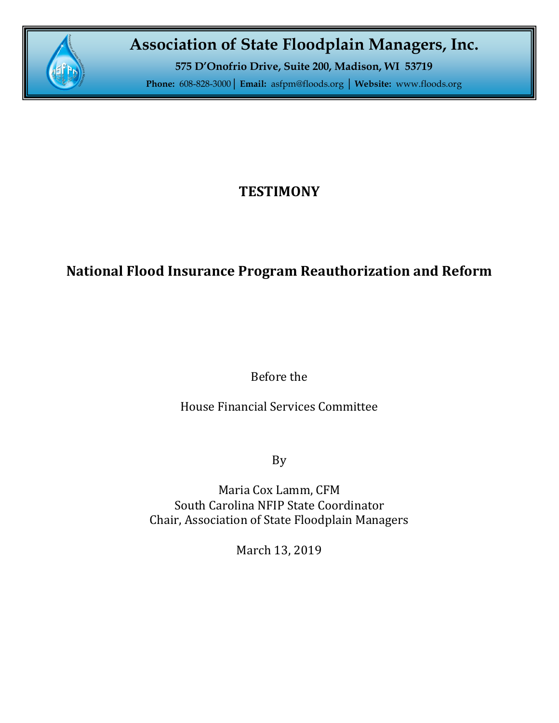

# **Association of State Floodplain Managers, Inc.**

**575 D'Onofrio Drive, Suite 200, Madison, WI 53719**

**Phone:** 608-828-3000**│ Email:** [asfpm@floods.org](mailto:asfpm@floods.org) **│ Website:** [www.floods.org](http://www.floods.org/)

## **TESTIMONY**

## **National Flood Insurance Program Reauthorization and Reform**

Before the

House Financial Services Committee

By

Maria Cox Lamm, CFM South Carolina NFIP State Coordinator Chair, Association of State Floodplain Managers

March 13, 2019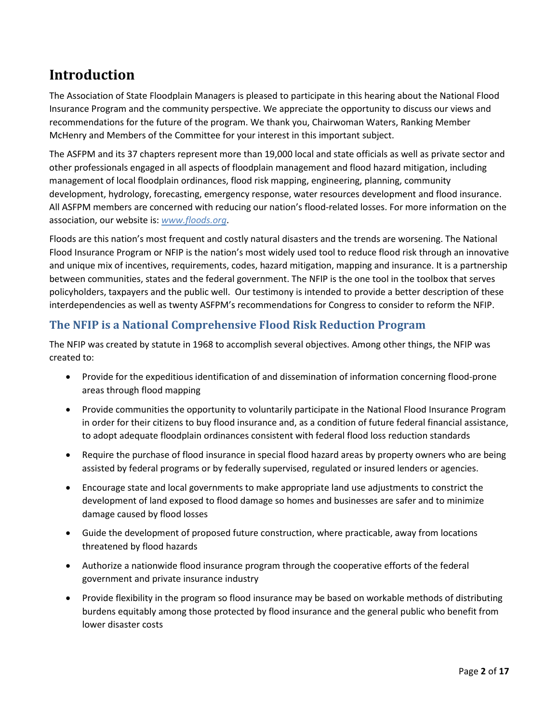### **Introduction**

The Association of State Floodplain Managers is pleased to participate in this hearing about the National Flood Insurance Program and the community perspective. We appreciate the opportunity to discuss our views and recommendations for the future of the program. We thank you, Chairwoman Waters, Ranking Member McHenry and Members of the Committee for your interest in this important subject.

The ASFPM and its 37 chapters represent more than 19,000 local and state officials as well as private sector and other professionals engaged in all aspects of floodplain management and flood hazard mitigation, including management of local floodplain ordinances, flood risk mapping, engineering, planning, community development, hydrology, forecasting, emergency response, water resources development and flood insurance. All ASFPM members are concerned with reducing our nation's flood-related losses. For more information on the association, our website is: *[www.floods.org](http://www.floods.org/)*.

Floods are this nation's most frequent and costly natural disasters and the trends are worsening. The National Flood Insurance Program or NFIP is the nation's most widely used tool to reduce flood risk through an innovative and unique mix of incentives, requirements, codes, hazard mitigation, mapping and insurance. It is a partnership between communities, states and the federal government. The NFIP is the one tool in the toolbox that serves policyholders, taxpayers and the public well. Our testimony is intended to provide a better description of these interdependencies as well as twenty ASFPM's recommendations for Congress to consider to reform the NFIP.

### **The NFIP is a National Comprehensive Flood Risk Reduction Program**

The NFIP was created by statute in 1968 to accomplish several objectives. Among other things, the NFIP was created to:

- Provide for the expeditious identification of and dissemination of information concerning flood-prone areas through flood mapping
- Provide communities the opportunity to voluntarily participate in the National Flood Insurance Program in order for their citizens to buy flood insurance and, as a condition of future federal financial assistance, to adopt adequate floodplain ordinances consistent with federal flood loss reduction standards
- Require the purchase of flood insurance in special flood hazard areas by property owners who are being assisted by federal programs or by federally supervised, regulated or insured lenders or agencies.
- Encourage state and local governments to make appropriate land use adjustments to constrict the development of land exposed to flood damage so homes and businesses are safer and to minimize damage caused by flood losses
- Guide the development of proposed future construction, where practicable, away from locations threatened by flood hazards
- Authorize a nationwide flood insurance program through the cooperative efforts of the federal government and private insurance industry
- Provide flexibility in the program so flood insurance may be based on workable methods of distributing burdens equitably among those protected by flood insurance and the general public who benefit from lower disaster costs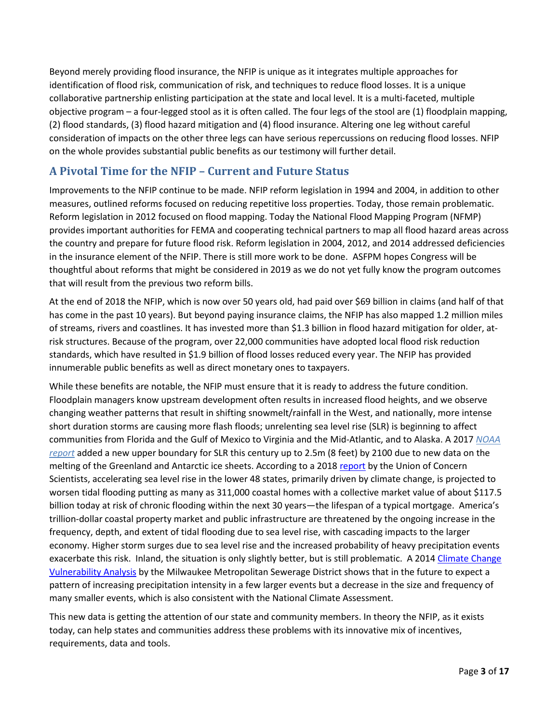Beyond merely providing flood insurance, the NFIP is unique as it integrates multiple approaches for identification of flood risk, communication of risk, and techniques to reduce flood losses. It is a unique collaborative partnership enlisting participation at the state and local level. It is a multi-faceted, multiple objective program – a four-legged stool as it is often called. The four legs of the stool are (1) floodplain mapping, (2) flood standards, (3) flood hazard mitigation and (4) flood insurance. Altering one leg without careful consideration of impacts on the other three legs can have serious repercussions on reducing flood losses. NFIP on the whole provides substantial public benefits as our testimony will further detail.

### **A Pivotal Time for the NFIP – Current and Future Status**

Improvements to the NFIP continue to be made. NFIP reform legislation in 1994 and 2004, in addition to other measures, outlined reforms focused on reducing repetitive loss properties. Today, those remain problematic. Reform legislation in 2012 focused on flood mapping. Today the National Flood Mapping Program (NFMP) provides important authorities for FEMA and cooperating technical partners to map all flood hazard areas across the country and prepare for future flood risk. Reform legislation in 2004, 2012, and 2014 addressed deficiencies in the insurance element of the NFIP. There is still more work to be done. ASFPM hopes Congress will be thoughtful about reforms that might be considered in 2019 as we do not yet fully know the program outcomes that will result from the previous two reform bills.

At the end of 2018 the NFIP, which is now over 50 years old, had paid over \$69 billion in claims (and half of that has come in the past 10 years). But beyond paying insurance claims, the NFIP has also mapped 1.2 million miles of streams, rivers and coastlines. It has invested more than \$1.3 billion in flood hazard mitigation for older, atrisk structures. Because of the program, over 22,000 communities have adopted local flood risk reduction standards, which have resulted in \$1.9 billion of flood losses reduced every year. The NFIP has provided innumerable public benefits as well as direct monetary ones to taxpayers.

While these benefits are notable, the NFIP must ensure that it is ready to address the future condition. Floodplain managers know upstream development often results in increased flood heights, and we observe changing weather patterns that result in shifting snowmelt/rainfall in the West, and nationally, more intense short duration storms are causing more flash floods; unrelenting sea level rise (SLR) is beginning to affect communities from Florida and the Gulf of Mexico to Virginia and the Mid-Atlantic, and to Alaska. A 2017 *[NOAA](https://tidesandcurrents.noaa.gov/publications/techrpt83_Global_and_Regional_SLR_Scenarios_for_the_US_final.pdf)  [report](https://tidesandcurrents.noaa.gov/publications/techrpt83_Global_and_Regional_SLR_Scenarios_for_the_US_final.pdf)* added a new upper boundary for SLR this century up to 2.5m (8 feet) by 2100 due to new data on the melting of the Greenland and Antarctic ice sheets. According to a 2018 [report](https://www.ucsusa.org/global-warming/global-warming-impacts/sea-level-rise-chronic-floods-and-us-coastal-real-estate-implications) by the Union of Concern Scientists, accelerating sea level rise in the lower 48 states, primarily driven by climate change, is projected to worsen tidal flooding putting as many as 311,000 coastal homes with a collective market value of about \$117.5 billion today at risk of chronic flooding within the next 30 years—the lifespan of a typical mortgage. America's trillion-dollar coastal property market and public infrastructure are threatened by the ongoing increase in the frequency, depth, and extent of tidal flooding due to sea level rise, with cascading impacts to the larger economy. Higher storm surges due to sea level rise and the increased probability of heavy precipitation events exacerbate this risk. Inland, the situation is only slightly better, but is still problematic. A 2014 Climate Change [Vulnerability Analysis](https://www.mmsd.com/application/files/2814/8416/3477/Climate_Change_Vulnerability_Analysis_Report_Without_Appendices.pdf) by the Milwaukee Metropolitan Sewerage District shows that in the future to expect a pattern of increasing precipitation intensity in a few larger events but a decrease in the size and frequency of many smaller events, which is also consistent with the National Climate Assessment.

This new data is getting the attention of our state and community members. In theory the NFIP, as it exists today, can help states and communities address these problems with its innovative mix of incentives, requirements, data and tools.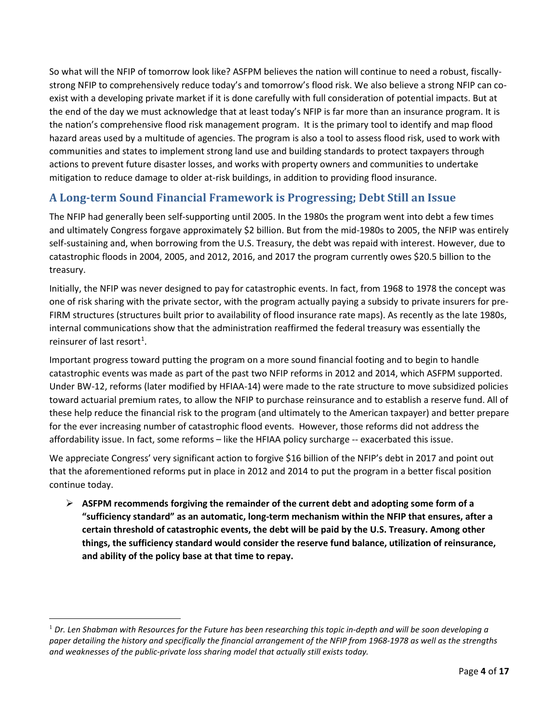So what will the NFIP of tomorrow look like? ASFPM believes the nation will continue to need a robust, fiscallystrong NFIP to comprehensively reduce today's and tomorrow's flood risk. We also believe a strong NFIP can coexist with a developing private market if it is done carefully with full consideration of potential impacts. But at the end of the day we must acknowledge that at least today's NFIP is far more than an insurance program. It is the nation's comprehensive flood risk management program. It is the primary tool to identify and map flood hazard areas used by a multitude of agencies. The program is also a tool to assess flood risk, used to work with communities and states to implement strong land use and building standards to protect taxpayers through actions to prevent future disaster losses, and works with property owners and communities to undertake mitigation to reduce damage to older at-risk buildings, in addition to providing flood insurance.

### **A Long-term Sound Financial Framework is Progressing; Debt Still an Issue**

The NFIP had generally been self-supporting until 2005. In the 1980s the program went into debt a few times and ultimately Congress forgave approximately \$2 billion. But from the mid-1980s to 2005, the NFIP was entirely self-sustaining and, when borrowing from the U.S. Treasury, the debt was repaid with interest. However, due to catastrophic floods in 2004, 2005, and 2012, 2016, and 2017 the program currently owes \$20.5 billion to the treasury.

Initially, the NFIP was never designed to pay for catastrophic events. In fact, from 1968 to 1978 the concept was one of risk sharing with the private sector, with the program actually paying a subsidy to private insurers for pre-FIRM structures (structures built prior to availability of flood insurance rate maps). As recently as the late 1980s, internal communications show that the administration reaffirmed the federal treasury was essentially the reinsurer of last resort<sup>[1](#page-3-0)</sup>.

Important progress toward putting the program on a more sound financial footing and to begin to handle catastrophic events was made as part of the past two NFIP reforms in 2012 and 2014, which ASFPM supported. Under BW-12, reforms (later modified by HFIAA-14) were made to the rate structure to move subsidized policies toward actuarial premium rates, to allow the NFIP to purchase reinsurance and to establish a reserve fund. All of these help reduce the financial risk to the program (and ultimately to the American taxpayer) and better prepare for the ever increasing number of catastrophic flood events. However, those reforms did not address the affordability issue. In fact, some reforms – like the HFIAA policy surcharge -- exacerbated this issue.

We appreciate Congress' very significant action to forgive \$16 billion of the NFIP's debt in 2017 and point out that the aforementioned reforms put in place in 2012 and 2014 to put the program in a better fiscal position continue today.

 **ASFPM recommends forgiving the remainder of the current debt and adopting some form of a "sufficiency standard" as an automatic, long-term mechanism within the NFIP that ensures, after a certain threshold of catastrophic events, the debt will be paid by the U.S. Treasury. Among other things, the sufficiency standard would consider the reserve fund balance, utilization of reinsurance, and ability of the policy base at that time to repay.**

<span id="page-3-0"></span> <sup>1</sup> *Dr. Len Shabman with Resources for the Future has been researching this topic in-depth and will be soon developing a paper detailing the history and specifically the financial arrangement of the NFIP from 1968-1978 as well as the strengths and weaknesses of the public-private loss sharing model that actually still exists today.*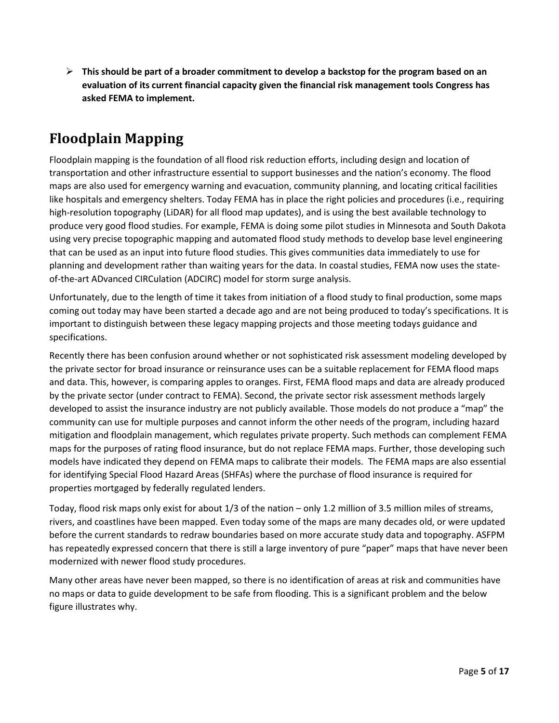**This should be part of a broader commitment to develop a backstop for the program based on an evaluation of its current financial capacity given the financial risk management tools Congress has asked FEMA to implement.**

## **Floodplain Mapping**

Floodplain mapping is the foundation of all flood risk reduction efforts, including design and location of transportation and other infrastructure essential to support businesses and the nation's economy. The flood maps are also used for emergency warning and evacuation, community planning, and locating critical facilities like hospitals and emergency shelters. Today FEMA has in place the right policies and procedures (i.e., requiring high-resolution topography (LiDAR) for all flood map updates), and is using the best available technology to produce very good flood studies. For example, FEMA is doing some pilot studies in Minnesota and South Dakota using very precise topographic mapping and automated flood study methods to develop base level engineering that can be used as an input into future flood studies. This gives communities data immediately to use for planning and development rather than waiting years for the data. In coastal studies, FEMA now uses the stateof-the-art ADvanced CIRCulation (ADCIRC) model for storm surge analysis.

Unfortunately, due to the length of time it takes from initiation of a flood study to final production, some maps coming out today may have been started a decade ago and are not being produced to today's specifications. It is important to distinguish between these legacy mapping projects and those meeting todays guidance and specifications.

Recently there has been confusion around whether or not sophisticated risk assessment modeling developed by the private sector for broad insurance or reinsurance uses can be a suitable replacement for FEMA flood maps and data. This, however, is comparing apples to oranges. First, FEMA flood maps and data are already produced by the private sector (under contract to FEMA). Second, the private sector risk assessment methods largely developed to assist the insurance industry are not publicly available. Those models do not produce a "map" the community can use for multiple purposes and cannot inform the other needs of the program, including hazard mitigation and floodplain management, which regulates private property. Such methods can complement FEMA maps for the purposes of rating flood insurance, but do not replace FEMA maps. Further, those developing such models have indicated they depend on FEMA maps to calibrate their models. The FEMA maps are also essential for identifying Special Flood Hazard Areas (SHFAs) where the purchase of flood insurance is required for properties mortgaged by federally regulated lenders.

Today, flood risk maps only exist for about 1/3 of the nation – only 1.2 million of 3.5 million miles of streams, rivers, and coastlines have been mapped. Even today some of the maps are many decades old, or were updated before the current standards to redraw boundaries based on more accurate study data and topography. ASFPM has repeatedly expressed concern that there is still a large inventory of pure "paper" maps that have never been modernized with newer flood study procedures.

Many other areas have never been mapped, so there is no identification of areas at risk and communities have no maps or data to guide development to be safe from flooding. This is a significant problem and the below figure illustrates why.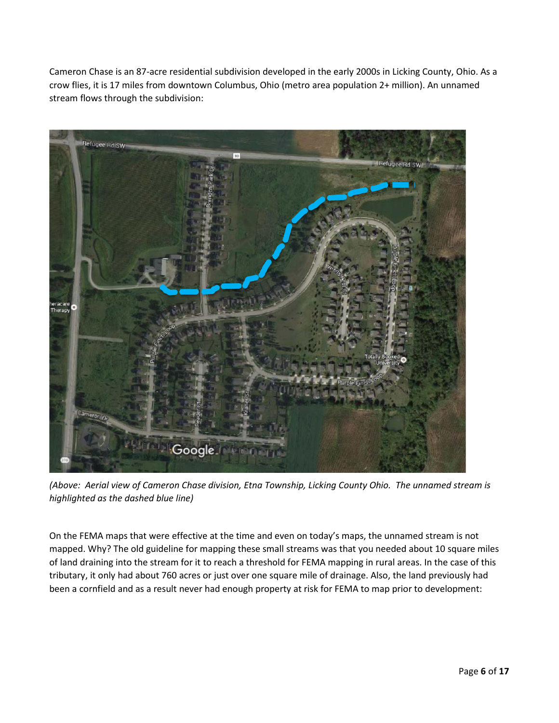Cameron Chase is an 87-acre residential subdivision developed in the early 2000s in Licking County, Ohio. As a crow flies, it is 17 miles from downtown Columbus, Ohio (metro area population 2+ million). An unnamed stream flows through the subdivision:



*(Above: Aerial view of Cameron Chase division, Etna Township, Licking County Ohio. The unnamed stream is highlighted as the dashed blue line)*

On the FEMA maps that were effective at the time and even on today's maps, the unnamed stream is not mapped. Why? The old guideline for mapping these small streams was that you needed about 10 square miles of land draining into the stream for it to reach a threshold for FEMA mapping in rural areas. In the case of this tributary, it only had about 760 acres or just over one square mile of drainage. Also, the land previously had been a cornfield and as a result never had enough property at risk for FEMA to map prior to development: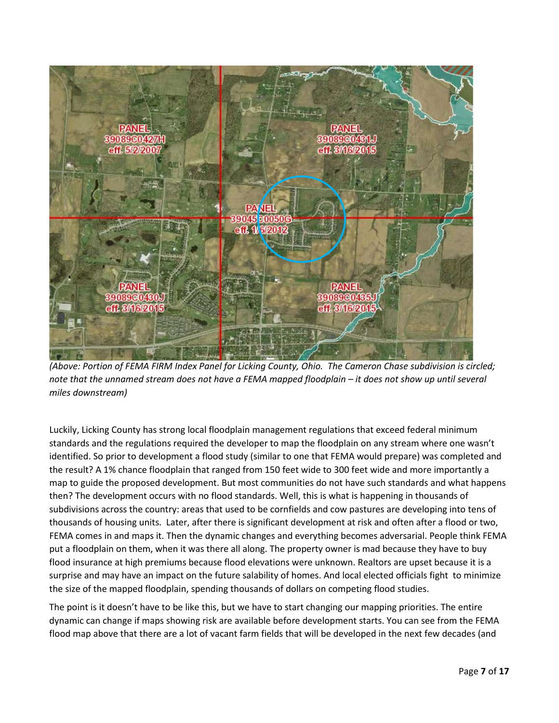

*(Above: Portion of FEMA FIRM Index Panel for Licking County, Ohio. The Cameron Chase subdivision is circled; note that the unnamed stream does not have a FEMA mapped floodplain – it does not show up until several miles downstream)*

Luckily, Licking County has strong local floodplain management regulations that exceed federal minimum standards and the regulations required the developer to map the floodplain on any stream where one wasn't identified. So prior to development a flood study (similar to one that FEMA would prepare) was completed and the result? A 1% chance floodplain that ranged from 150 feet wide to 300 feet wide and more importantly a map to guide the proposed development. But most communities do not have such standards and what happens then? The development occurs with no flood standards. Well, this is what is happening in thousands of subdivisions across the country: areas that used to be cornfields and cow pastures are developing into tens of thousands of housing units. Later, after there is significant development at risk and often after a flood or two, FEMA comes in and maps it. Then the dynamic changes and everything becomes adversarial. People think FEMA put a floodplain on them, when it was there all along. The property owner is mad because they have to buy flood insurance at high premiums because flood elevations were unknown. Realtors are upset because it is a surprise and may have an impact on the future salability of homes. And local elected officials fight to minimize the size of the mapped floodplain, spending thousands of dollars on competing flood studies.

The point is it doesn't have to be like this, but we have to start changing our mapping priorities. The entire dynamic can change if maps showing risk are available before development starts. You can see from the FEMA flood map above that there are a lot of vacant farm fields that will be developed in the next few decades (and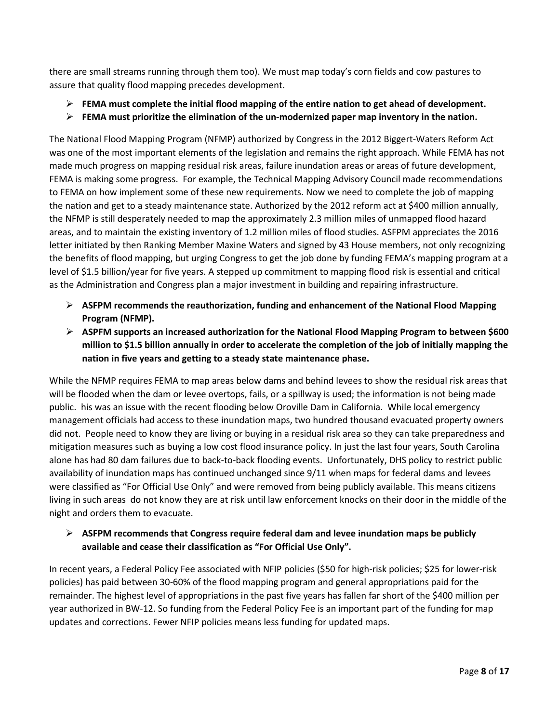there are small streams running through them too). We must map today's corn fields and cow pastures to assure that quality flood mapping precedes development.

- **FEMA must complete the initial flood mapping of the entire nation to get ahead of development.**
- **FEMA must prioritize the elimination of the un-modernized paper map inventory in the nation.**

The National Flood Mapping Program (NFMP) authorized by Congress in the 2012 Biggert-Waters Reform Act was one of the most important elements of the legislation and remains the right approach. While FEMA has not made much progress on mapping residual risk areas, failure inundation areas or areas of future development, FEMA is making some progress. For example, the Technical Mapping Advisory Council made recommendations to FEMA on how implement some of these new requirements. Now we need to complete the job of mapping the nation and get to a steady maintenance state. Authorized by the 2012 reform act at \$400 million annually, the NFMP is still desperately needed to map the approximately 2.3 million miles of unmapped flood hazard areas, and to maintain the existing inventory of 1.2 million miles of flood studies. ASFPM appreciates the 2016 letter initiated by then Ranking Member Maxine Waters and signed by 43 House members, not only recognizing the benefits of flood mapping, but urging Congress to get the job done by funding FEMA's mapping program at a level of \$1.5 billion/year for five years. A stepped up commitment to mapping flood risk is essential and critical as the Administration and Congress plan a major investment in building and repairing infrastructure.

- **ASFPM recommends the reauthorization, funding and enhancement of the National Flood Mapping Program (NFMP).**
- **ASPFM supports an increased authorization for the National Flood Mapping Program to between \$600 million to \$1.5 billion annually in order to accelerate the completion of the job of initially mapping the nation in five years and getting to a steady state maintenance phase.**

While the NFMP requires FEMA to map areas below dams and behind levees to show the residual risk areas that will be flooded when the dam or levee overtops, fails, or a spillway is used; the information is not being made public. his was an issue with the recent flooding below Oroville Dam in California. While local emergency management officials had access to these inundation maps, two hundred thousand evacuated property owners did not. People need to know they are living or buying in a residual risk area so they can take preparedness and mitigation measures such as buying a low cost flood insurance policy. In just the last four years, South Carolina alone has had 80 dam failures due to back-to-back flooding events. Unfortunately, DHS policy to restrict public availability of inundation maps has continued unchanged since 9/11 when maps for federal dams and levees were classified as "For Official Use Only" and were removed from being publicly available. This means citizens living in such areas do not know they are at risk until law enforcement knocks on their door in the middle of the night and orders them to evacuate.

#### **ASFPM recommends that Congress require federal dam and levee inundation maps be publicly available and cease their classification as "For Official Use Only".**

In recent years, a Federal Policy Fee associated with NFIP policies (\$50 for high-risk policies; \$25 for lower-risk policies) has paid between 30-60% of the flood mapping program and general appropriations paid for the remainder. The highest level of appropriations in the past five years has fallen far short of the \$400 million per year authorized in BW-12. So funding from the Federal Policy Fee is an important part of the funding for map updates and corrections. Fewer NFIP policies means less funding for updated maps.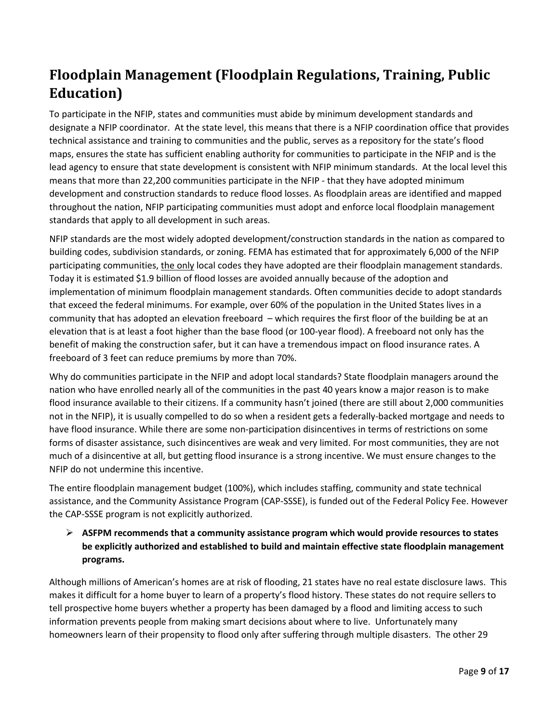# **Floodplain Management (Floodplain Regulations, Training, Public Education)**

To participate in the NFIP, states and communities must abide by minimum development standards and designate a NFIP coordinator. At the state level, this means that there is a NFIP coordination office that provides technical assistance and training to communities and the public, serves as a repository for the state's flood maps, ensures the state has sufficient enabling authority for communities to participate in the NFIP and is the lead agency to ensure that state development is consistent with NFIP minimum standards. At the local level this means that more than 22,200 communities participate in the NFIP - that they have adopted minimum development and construction standards to reduce flood losses. As floodplain areas are identified and mapped throughout the nation, NFIP participating communities must adopt and enforce local floodplain management standards that apply to all development in such areas.

NFIP standards are the most widely adopted development/construction standards in the nation as compared to building codes, subdivision standards, or zoning. FEMA has estimated that for approximately 6,000 of the NFIP participating communities, the only local codes they have adopted are their floodplain management standards. Today it is estimated \$1.9 billion of flood losses are avoided annually because of the adoption and implementation of minimum floodplain management standards. Often communities decide to adopt standards that exceed the federal minimums. For example, over 60% of the population in the United States lives in a community that has adopted an elevation freeboard – which requires the first floor of the building be at an elevation that is at least a foot higher than the base flood (or 100-year flood). A freeboard not only has the benefit of making the construction safer, but it can have a tremendous impact on flood insurance rates. A freeboard of 3 feet can reduce premiums by more than 70%.

Why do communities participate in the NFIP and adopt local standards? State floodplain managers around the nation who have enrolled nearly all of the communities in the past 40 years know a major reason is to make flood insurance available to their citizens. If a community hasn't joined (there are still about 2,000 communities not in the NFIP), it is usually compelled to do so when a resident gets a federally-backed mortgage and needs to have flood insurance. While there are some non-participation disincentives in terms of restrictions on some forms of disaster assistance, such disincentives are weak and very limited. For most communities, they are not much of a disincentive at all, but getting flood insurance is a strong incentive. We must ensure changes to the NFIP do not undermine this incentive.

The entire floodplain management budget (100%), which includes staffing, community and state technical assistance, and the Community Assistance Program (CAP-SSSE), is funded out of the Federal Policy Fee. However the CAP-SSSE program is not explicitly authorized.

#### **ASFPM recommends that a community assistance program which would provide resources to states be explicitly authorized and established to build and maintain effective state floodplain management programs.**

Although millions of American's homes are at risk of flooding, 21 states have no real estate disclosure laws. This makes it difficult for a home buyer to learn of a property's flood history. These states do not require sellers to tell prospective home buyers whether a property has been damaged by a flood and limiting access to such information prevents people from making smart decisions about where to live. Unfortunately many homeowners learn of their propensity to flood only after suffering through multiple disasters. The other 29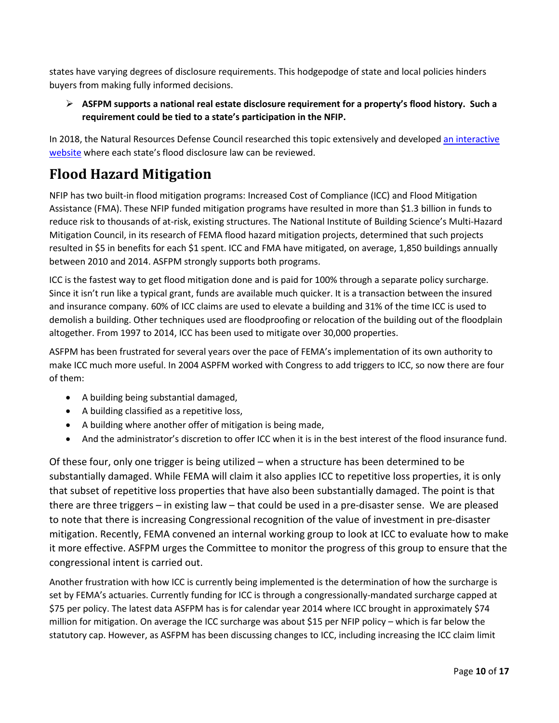states have varying degrees of disclosure requirements. This hodgepodge of state and local policies hinders buyers from making fully informed decisions.

#### **ASFPM supports a national real estate disclosure requirement for a property's flood history. Such a requirement could be tied to a state's participation in the NFIP.**

In 2018, the Natural Resources Defense Council researched this topic extensively and developed [an interactive](https://www.nrdc.org/flood-disclosure-map)  [website](https://www.nrdc.org/flood-disclosure-map) where each state's flood disclosure law can be reviewed.

## **Flood Hazard Mitigation**

NFIP has two built-in flood mitigation programs: Increased Cost of Compliance (ICC) and Flood Mitigation Assistance (FMA). These NFIP funded mitigation programs have resulted in more than \$1.3 billion in funds to reduce risk to thousands of at-risk, existing structures. The National Institute of Building Science's Multi-Hazard Mitigation Council, in its research of FEMA flood hazard mitigation projects, determined that such projects resulted in \$5 in benefits for each \$1 spent. ICC and FMA have mitigated, on average, 1,850 buildings annually between 2010 and 2014. ASFPM strongly supports both programs.

ICC is the fastest way to get flood mitigation done and is paid for 100% through a separate policy surcharge. Since it isn't run like a typical grant, funds are available much quicker. It is a transaction between the insured and insurance company. 60% of ICC claims are used to elevate a building and 31% of the time ICC is used to demolish a building. Other techniques used are floodproofing or relocation of the building out of the floodplain altogether. From 1997 to 2014, ICC has been used to mitigate over 30,000 properties.

ASFPM has been frustrated for several years over the pace of FEMA's implementation of its own authority to make ICC much more useful. In 2004 ASPFM worked with Congress to add triggers to ICC, so now there are four of them:

- A building being substantial damaged,
- A building classified as a repetitive loss,
- A building where another offer of mitigation is being made,
- And the administrator's discretion to offer ICC when it is in the best interest of the flood insurance fund.

Of these four, only one trigger is being utilized – when a structure has been determined to be substantially damaged. While FEMA will claim it also applies ICC to repetitive loss properties, it is only that subset of repetitive loss properties that have also been substantially damaged. The point is that there are three triggers – in existing law – that could be used in a pre-disaster sense. We are pleased to note that there is increasing Congressional recognition of the value of investment in pre-disaster mitigation. Recently, FEMA convened an internal working group to look at ICC to evaluate how to make it more effective. ASFPM urges the Committee to monitor the progress of this group to ensure that the congressional intent is carried out.

Another frustration with how ICC is currently being implemented is the determination of how the surcharge is set by FEMA's actuaries. Currently funding for ICC is through a congressionally-mandated surcharge capped at \$75 per policy. The latest data ASFPM has is for calendar year 2014 where ICC brought in approximately \$74 million for mitigation. On average the ICC surcharge was about \$15 per NFIP policy – which is far below the statutory cap. However, as ASFPM has been discussing changes to ICC, including increasing the ICC claim limit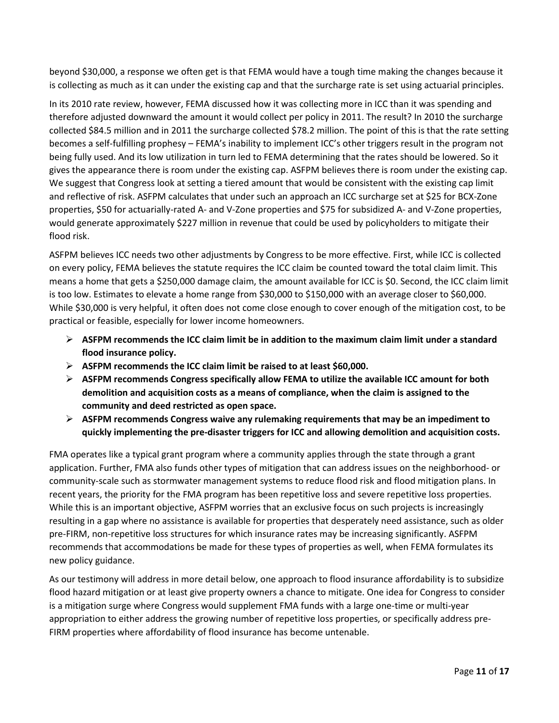beyond \$30,000, a response we often get is that FEMA would have a tough time making the changes because it is collecting as much as it can under the existing cap and that the surcharge rate is set using actuarial principles.

In its 2010 rate review, however, FEMA discussed how it was collecting more in ICC than it was spending and therefore adjusted downward the amount it would collect per policy in 2011. The result? In 2010 the surcharge collected \$84.5 million and in 2011 the surcharge collected \$78.2 million. The point of this is that the rate setting becomes a self-fulfilling prophesy – FEMA's inability to implement ICC's other triggers result in the program not being fully used. And its low utilization in turn led to FEMA determining that the rates should be lowered. So it gives the appearance there is room under the existing cap. ASFPM believes there is room under the existing cap. We suggest that Congress look at setting a tiered amount that would be consistent with the existing cap limit and reflective of risk. ASFPM calculates that under such an approach an ICC surcharge set at \$25 for BCX-Zone properties, \$50 for actuarially-rated A- and V-Zone properties and \$75 for subsidized A- and V-Zone properties, would generate approximately \$227 million in revenue that could be used by policyholders to mitigate their flood risk.

ASFPM believes ICC needs two other adjustments by Congress to be more effective. First, while ICC is collected on every policy, FEMA believes the statute requires the ICC claim be counted toward the total claim limit. This means a home that gets a \$250,000 damage claim, the amount available for ICC is \$0. Second, the ICC claim limit is too low. Estimates to elevate a home range from \$30,000 to \$150,000 with an average closer to \$60,000. While \$30,000 is very helpful, it often does not come close enough to cover enough of the mitigation cost, to be practical or feasible, especially for lower income homeowners.

- **ASFPM recommends the ICC claim limit be in addition to the maximum claim limit under a standard flood insurance policy.**
- **ASFPM recommends the ICC claim limit be raised to at least \$60,000.**
- **ASFPM recommends Congress specifically allow FEMA to utilize the available ICC amount for both demolition and acquisition costs as a means of compliance, when the claim is assigned to the community and deed restricted as open space.**
- **ASFPM recommends Congress waive any rulemaking requirements that may be an impediment to quickly implementing the pre-disaster triggers for ICC and allowing demolition and acquisition costs.**

FMA operates like a typical grant program where a community applies through the state through a grant application. Further, FMA also funds other types of mitigation that can address issues on the neighborhood- or community-scale such as stormwater management systems to reduce flood risk and flood mitigation plans. In recent years, the priority for the FMA program has been repetitive loss and severe repetitive loss properties. While this is an important objective, ASFPM worries that an exclusive focus on such projects is increasingly resulting in a gap where no assistance is available for properties that desperately need assistance, such as older pre-FIRM, non-repetitive loss structures for which insurance rates may be increasing significantly. ASFPM recommends that accommodations be made for these types of properties as well, when FEMA formulates its new policy guidance.

As our testimony will address in more detail below, one approach to flood insurance affordability is to subsidize flood hazard mitigation or at least give property owners a chance to mitigate. One idea for Congress to consider is a mitigation surge where Congress would supplement FMA funds with a large one-time or multi-year appropriation to either address the growing number of repetitive loss properties, or specifically address pre-FIRM properties where affordability of flood insurance has become untenable.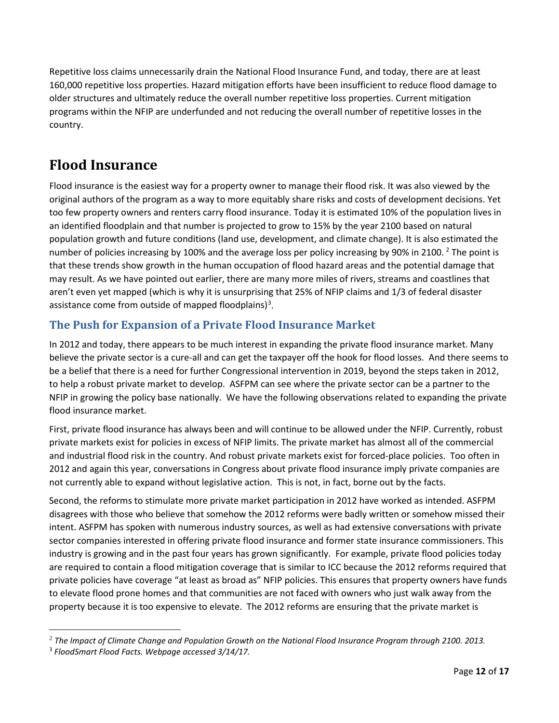Repetitive loss claims unnecessarily drain the National Flood Insurance Fund, and today, there are at least 160,000 repetitive loss properties. Hazard mitigation efforts have been insufficient to reduce flood damage to older structures and ultimately reduce the overall number repetitive loss properties. Current mitigation programs within the NFIP are underfunded and not reducing the overall number of repetitive losses in the country.

### **Flood Insurance**

Flood insurance is the easiest way for a property owner to manage their flood risk. It was also viewed by the original authors of the program as a way to more equitably share risks and costs of development decisions. Yet too few property owners and renters carry flood insurance. Today it is estimated 10% of the population lives in an identified floodplain and that number is projected to grow to 15% by the year 2100 based on natural population growth and future conditions (land use, development, and climate change). It is also estimated the number of policies increasing by 100% and the average loss per policy increasing by 90% in [2](#page-11-0)100. <sup>2</sup> The point is that these trends show growth in the human occupation of flood hazard areas and the potential damage that may result. As we have pointed out earlier, there are many more miles of rivers, streams and coastlines that aren't even yet mapped (which is why it is unsurprising that 25% of NFIP claims and 1/3 of federal disaster assistance come from outside of mapped floodplains)<sup>[3](#page-11-1)</sup>.

### **The Push for Expansion of a Private Flood Insurance Market**

In 2012 and today, there appears to be much interest in expanding the private flood insurance market. Many believe the private sector is a cure-all and can get the taxpayer off the hook for flood losses. And there seems to be a belief that there is a need for further Congressional intervention in 2019, beyond the steps taken in 2012, to help a robust private market to develop. ASFPM can see where the private sector can be a partner to the NFIP in growing the policy base nationally. We have the following observations related to expanding the private flood insurance market.

First, private flood insurance has always been and will continue to be allowed under the NFIP. Currently, robust private markets exist for policies in excess of NFIP limits. The private market has almost all of the commercial and industrial flood risk in the country. And robust private markets exist for forced-place policies. Too often in 2012 and again this year, conversations in Congress about private flood insurance imply private companies are not currently able to expand without legislative action. This is not, in fact, borne out by the facts.

Second, the reforms to stimulate more private market participation in 2012 have worked as intended. ASFPM disagrees with those who believe that somehow the 2012 reforms were badly written or somehow missed their intent. ASFPM has spoken with numerous industry sources, as well as had extensive conversations with private sector companies interested in offering private flood insurance and former state insurance commissioners. This industry is growing and in the past four years has grown significantly. For example, private flood policies today are required to contain a flood mitigation coverage that is similar to ICC because the 2012 reforms required that private policies have coverage "at least as broad as" NFIP policies. This ensures that property owners have funds to elevate flood prone homes and that communities are not faced with owners who just walk away from the property because it is too expensive to elevate. The 2012 reforms are ensuring that the private market is

<span id="page-11-0"></span> <sup>2</sup> *The Impact of Climate Change and Population Growth on the National Flood Insurance Program through 2100. 2013.*

<span id="page-11-1"></span><sup>3</sup> *FloodSmart Flood Facts. Webpage accessed 3/14/17.*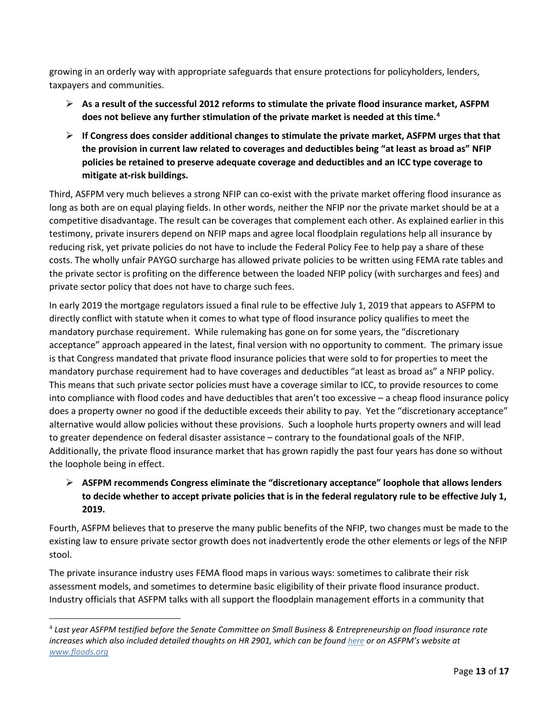growing in an orderly way with appropriate safeguards that ensure protections for policyholders, lenders, taxpayers and communities.

- **As a result of the successful 2012 reforms to stimulate the private flood insurance market, ASFPM does not believe any further stimulation of the private market is needed at this time. [4](#page-12-0)**
- **If Congress does consider additional changes to stimulate the private market, ASFPM urges that that the provision in current law related to coverages and deductibles being "at least as broad as" NFIP policies be retained to preserve adequate coverage and deductibles and an ICC type coverage to mitigate at-risk buildings.**

Third, ASFPM very much believes a strong NFIP can co-exist with the private market offering flood insurance as long as both are on equal playing fields. In other words, neither the NFIP nor the private market should be at a competitive disadvantage. The result can be coverages that complement each other. As explained earlier in this testimony, private insurers depend on NFIP maps and agree local floodplain regulations help all insurance by reducing risk, yet private policies do not have to include the Federal Policy Fee to help pay a share of these costs. The wholly unfair PAYGO surcharge has allowed private policies to be written using FEMA rate tables and the private sector is profiting on the difference between the loaded NFIP policy (with surcharges and fees) and private sector policy that does not have to charge such fees.

In early 2019 the mortgage regulators issued a final rule to be effective July 1, 2019 that appears to ASFPM to directly conflict with statute when it comes to what type of flood insurance policy qualifies to meet the mandatory purchase requirement. While rulemaking has gone on for some years, the "discretionary acceptance" approach appeared in the latest, final version with no opportunity to comment. The primary issue is that Congress mandated that private flood insurance policies that were sold to for properties to meet the mandatory purchase requirement had to have coverages and deductibles "at least as broad as" a NFIP policy. This means that such private sector policies must have a coverage similar to ICC, to provide resources to come into compliance with flood codes and have deductibles that aren't too excessive – a cheap flood insurance policy does a property owner no good if the deductible exceeds their ability to pay. Yet the "discretionary acceptance" alternative would allow policies without these provisions. Such a loophole hurts property owners and will lead to greater dependence on federal disaster assistance – contrary to the foundational goals of the NFIP. Additionally, the private flood insurance market that has grown rapidly the past four years has done so without the loophole being in effect.

#### **ASFPM recommends Congress eliminate the "discretionary acceptance" loophole that allows lenders to decide whether to accept private policies that is in the federal regulatory rule to be effective July 1, 2019.**

Fourth, ASFPM believes that to preserve the many public benefits of the NFIP, two changes must be made to the existing law to ensure private sector growth does not inadvertently erode the other elements or legs of the NFIP stool.

The private insurance industry uses FEMA flood maps in various ways: sometimes to calibrate their risk assessment models, and sometimes to determine basic eligibility of their private flood insurance product. Industry officials that ASFPM talks with all support the floodplain management efforts in a community that

<span id="page-12-0"></span> <sup>4</sup> *Last year ASFPM testified before the Senate Committee on Small Business & Entrepreneurship on flood insurance rate increases which also included detailed thoughts on HR 2901, which can be found [here](http://www.floods.org/ace-images/TestimonyCeilJune2016.pdf) or on ASFPM's website at [www.floods.org](http://www.floods.org/)*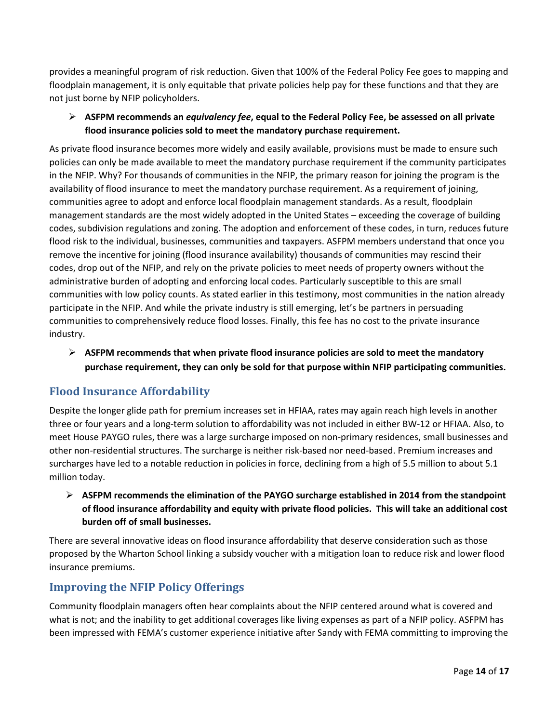provides a meaningful program of risk reduction. Given that 100% of the Federal Policy Fee goes to mapping and floodplain management, it is only equitable that private policies help pay for these functions and that they are not just borne by NFIP policyholders.

#### **ASFPM recommends an** *equivalency fee***, equal to the Federal Policy Fee, be assessed on all private flood insurance policies sold to meet the mandatory purchase requirement.**

As private flood insurance becomes more widely and easily available, provisions must be made to ensure such policies can only be made available to meet the mandatory purchase requirement if the community participates in the NFIP. Why? For thousands of communities in the NFIP, the primary reason for joining the program is the availability of flood insurance to meet the mandatory purchase requirement. As a requirement of joining, communities agree to adopt and enforce local floodplain management standards. As a result, floodplain management standards are the most widely adopted in the United States – exceeding the coverage of building codes, subdivision regulations and zoning. The adoption and enforcement of these codes, in turn, reduces future flood risk to the individual, businesses, communities and taxpayers. ASFPM members understand that once you remove the incentive for joining (flood insurance availability) thousands of communities may rescind their codes, drop out of the NFIP, and rely on the private policies to meet needs of property owners without the administrative burden of adopting and enforcing local codes. Particularly susceptible to this are small communities with low policy counts. As stated earlier in this testimony, most communities in the nation already participate in the NFIP. And while the private industry is still emerging, let's be partners in persuading communities to comprehensively reduce flood losses. Finally, this fee has no cost to the private insurance industry.

 **ASFPM recommends that when private flood insurance policies are sold to meet the mandatory purchase requirement, they can only be sold for that purpose within NFIP participating communities.**

### **Flood Insurance Affordability**

Despite the longer glide path for premium increases set in HFIAA, rates may again reach high levels in another three or four years and a long-term solution to affordability was not included in either BW-12 or HFIAA. Also, to meet House PAYGO rules, there was a large surcharge imposed on non-primary residences, small businesses and other non-residential structures. The surcharge is neither risk-based nor need-based. Premium increases and surcharges have led to a notable reduction in policies in force, declining from a high of 5.5 million to about 5.1 million today.

 **ASFPM recommends the elimination of the PAYGO surcharge established in 2014 from the standpoint of flood insurance affordability and equity with private flood policies. This will take an additional cost burden off of small businesses.** 

There are several innovative ideas on flood insurance affordability that deserve consideration such as those proposed by the Wharton School linking a subsidy voucher with a mitigation loan to reduce risk and lower flood insurance premiums.

### **Improving the NFIP Policy Offerings**

Community floodplain managers often hear complaints about the NFIP centered around what is covered and what is not; and the inability to get additional coverages like living expenses as part of a NFIP policy. ASFPM has been impressed with FEMA's customer experience initiative after Sandy with FEMA committing to improving the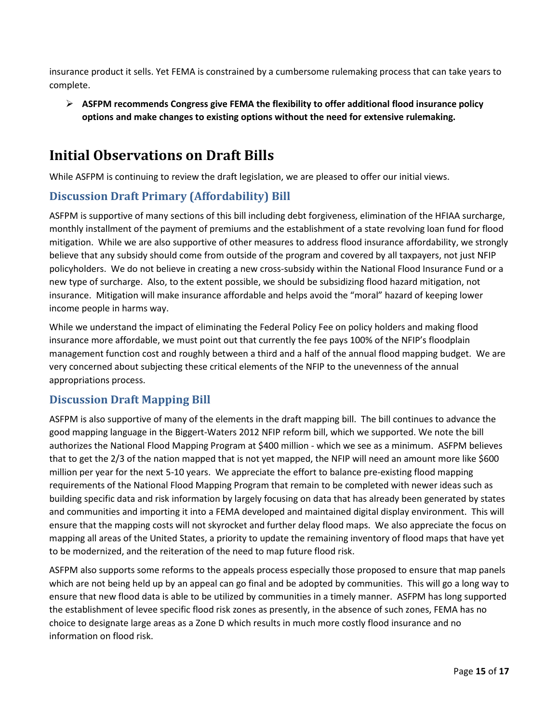insurance product it sells. Yet FEMA is constrained by a cumbersome rulemaking process that can take years to complete.

 **ASFPM recommends Congress give FEMA the flexibility to offer additional flood insurance policy options and make changes to existing options without the need for extensive rulemaking.**

### **Initial Observations on Draft Bills**

While ASFPM is continuing to review the draft legislation, we are pleased to offer our initial views.

### **Discussion Draft Primary (Affordability) Bill**

ASFPM is supportive of many sections of this bill including debt forgiveness, elimination of the HFIAA surcharge, monthly installment of the payment of premiums and the establishment of a state revolving loan fund for flood mitigation. While we are also supportive of other measures to address flood insurance affordability, we strongly believe that any subsidy should come from outside of the program and covered by all taxpayers, not just NFIP policyholders. We do not believe in creating a new cross-subsidy within the National Flood Insurance Fund or a new type of surcharge. Also, to the extent possible, we should be subsidizing flood hazard mitigation, not insurance. Mitigation will make insurance affordable and helps avoid the "moral" hazard of keeping lower income people in harms way.

While we understand the impact of eliminating the Federal Policy Fee on policy holders and making flood insurance more affordable, we must point out that currently the fee pays 100% of the NFIP's floodplain management function cost and roughly between a third and a half of the annual flood mapping budget. We are very concerned about subjecting these critical elements of the NFIP to the unevenness of the annual appropriations process.

### **Discussion Draft Mapping Bill**

ASFPM is also supportive of many of the elements in the draft mapping bill. The bill continues to advance the good mapping language in the Biggert-Waters 2012 NFIP reform bill, which we supported. We note the bill authorizes the National Flood Mapping Program at \$400 million - which we see as a minimum. ASFPM believes that to get the 2/3 of the nation mapped that is not yet mapped, the NFIP will need an amount more like \$600 million per year for the next 5-10 years. We appreciate the effort to balance pre-existing flood mapping requirements of the National Flood Mapping Program that remain to be completed with newer ideas such as building specific data and risk information by largely focusing on data that has already been generated by states and communities and importing it into a FEMA developed and maintained digital display environment. This will ensure that the mapping costs will not skyrocket and further delay flood maps. We also appreciate the focus on mapping all areas of the United States, a priority to update the remaining inventory of flood maps that have yet to be modernized, and the reiteration of the need to map future flood risk.

ASFPM also supports some reforms to the appeals process especially those proposed to ensure that map panels which are not being held up by an appeal can go final and be adopted by communities. This will go a long way to ensure that new flood data is able to be utilized by communities in a timely manner. ASFPM has long supported the establishment of levee specific flood risk zones as presently, in the absence of such zones, FEMA has no choice to designate large areas as a Zone D which results in much more costly flood insurance and no information on flood risk.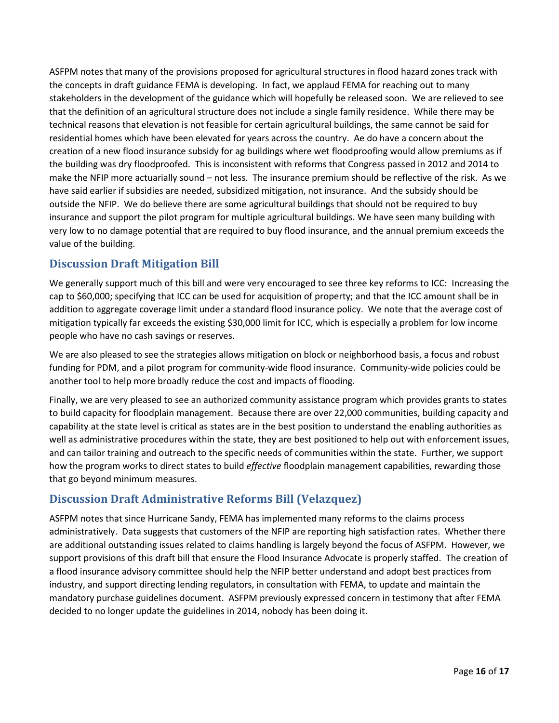ASFPM notes that many of the provisions proposed for agricultural structures in flood hazard zones track with the concepts in draft guidance FEMA is developing. In fact, we applaud FEMA for reaching out to many stakeholders in the development of the guidance which will hopefully be released soon. We are relieved to see that the definition of an agricultural structure does not include a single family residence. While there may be technical reasons that elevation is not feasible for certain agricultural buildings, the same cannot be said for residential homes which have been elevated for years across the country. Ae do have a concern about the creation of a new flood insurance subsidy for ag buildings where wet floodproofing would allow premiums as if the building was dry floodproofed. This is inconsistent with reforms that Congress passed in 2012 and 2014 to make the NFIP more actuarially sound – not less. The insurance premium should be reflective of the risk. As we have said earlier if subsidies are needed, subsidized mitigation, not insurance. And the subsidy should be outside the NFIP. We do believe there are some agricultural buildings that should not be required to buy insurance and support the pilot program for multiple agricultural buildings. We have seen many building with very low to no damage potential that are required to buy flood insurance, and the annual premium exceeds the value of the building.

### **Discussion Draft Mitigation Bill**

We generally support much of this bill and were very encouraged to see three key reforms to ICC: Increasing the cap to \$60,000; specifying that ICC can be used for acquisition of property; and that the ICC amount shall be in addition to aggregate coverage limit under a standard flood insurance policy. We note that the average cost of mitigation typically far exceeds the existing \$30,000 limit for ICC, which is especially a problem for low income people who have no cash savings or reserves.

We are also pleased to see the strategies allows mitigation on block or neighborhood basis, a focus and robust funding for PDM, and a pilot program for community-wide flood insurance. Community-wide policies could be another tool to help more broadly reduce the cost and impacts of flooding.

Finally, we are very pleased to see an authorized community assistance program which provides grants to states to build capacity for floodplain management. Because there are over 22,000 communities, building capacity and capability at the state level is critical as states are in the best position to understand the enabling authorities as well as administrative procedures within the state, they are best positioned to help out with enforcement issues, and can tailor training and outreach to the specific needs of communities within the state. Further, we support how the program works to direct states to build *effective* floodplain management capabilities, rewarding those that go beyond minimum measures.

### **Discussion Draft Administrative Reforms Bill (Velazquez)**

ASFPM notes that since Hurricane Sandy, FEMA has implemented many reforms to the claims process administratively. Data suggests that customers of the NFIP are reporting high satisfaction rates. Whether there are additional outstanding issues related to claims handling is largely beyond the focus of ASFPM. However, we support provisions of this draft bill that ensure the Flood Insurance Advocate is properly staffed. The creation of a flood insurance advisory committee should help the NFIP better understand and adopt best practices from industry, and support directing lending regulators, in consultation with FEMA, to update and maintain the mandatory purchase guidelines document. ASFPM previously expressed concern in testimony that after FEMA decided to no longer update the guidelines in 2014, nobody has been doing it.